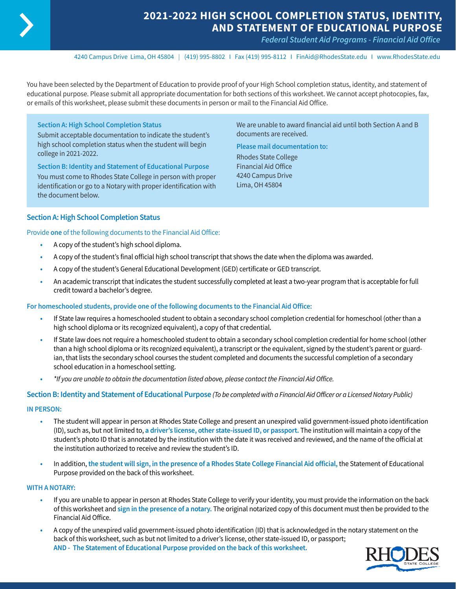

# **2021-2022 HIGH SCHOOL COMPLETION STATUS, IDENTITY, AND STATEMENT OF EDUCATIONAL PURPOSE**

*Federal Student Aid Programs - Financial Aid Office* 

4240 Campus Drive Lima, OH 45804 I (419) 995-8802 I Fax (419) 995-8112 I [FinAid@RhodesState.edu](mailto:FinAid@RhodesState.edu) I [www.RhodesState.edu](http://www.RhodesState.edu)

You have been selected by the Department of Education to provide proof of your High School completion status, identity, and statement of educational purpose. Please submit all appropriate documentation for both sections of this worksheet. We cannot accept photocopies, fax, or emails of this worksheet, please submit these documents in person or mail to the Financial Aid Office.

## **Section A: High School Completion Status**

Submit acceptable documentation to indicate the student's high school completion status when the student will begin college in 2021-2022.

**Section B: Identity and Statement of Educational Purpose** You must come to Rhodes State College in person with proper identification or go to a Notary with proper identification with the document below.

We are unable to award financial aid until both Section A and B documents are received.

**Please mail documentation to:**  Rhodes State College Financial Aid Office 4240 Campus Drive Lima, OH 45804

### **Section A: High School Completion Status**

Provide **one** of the following documents to the Financial Aid Office:

- **•** A copy of the student's high school diploma.
- **•** A copy of the student's final official high school transcript that shows the date when the diploma was awarded.
- **•** A copy of the student's General Educational Development (GED) certificate or GED transcript.
- **•** An academic transcript that indicates the student successfully completed at least a two-year program that is acceptable for full credit toward a bachelor's degree.

#### **For homeschooled students, provide one of the following documents to the Financial Aid Office:**

- **•** If State law requires a homeschooled student to obtain a secondary school completion credential for homeschool (other than a high school diploma or its recognized equivalent), a copy of that credential.
- **•** If State law does not require a homeschooled student to obtain a secondary school completion credential for home school (other than a high school diploma or its recognized equivalent), a transcript or the equivalent, signed by the student's parent or guardian, that lists the secondary school courses the student completed and documents the successful completion of a secondary school education in a homeschool setting.
- **•** *\*If you are unable to obtain the documentation listed above, please contact the Financial Aid Office.*

**Section B: Identity and Statement of Educational Purpose** *(To be completed with a Financial Aid Officer or a Licensed Notary Public)*

#### **IN PERSON:**

- **•** The student will appear in person at Rhodes State College and present an unexpired valid government-issued photo identification (ID), such as, but not limited to, **a driver's license, other state-issued ID, or passport.** The institution will maintain a copy of the student's photo ID that is annotated by the institution with the date it was received and reviewed, and the name of the official at the institution authorized to receive and review the student's ID.
- **•** In addition, **the student will sign, in the presence of a Rhodes State College Financial Aid official,** the Statement of Educational Purpose provided on the back of this worksheet.

#### **WITH A NOTARY:**

- **•** If you are unable to appear in person at Rhodes State College to verify your identity, you must provide the information on the back of this worksheet and **sign in the presence of a notary.** The original notarized copy of this document must then be provided to the Financial Aid Office.
- **•** A copy of the unexpired valid government-issued photo identification (ID) that is acknowledged in the notary statement on the back of this worksheet, such as but not limited to a driver's license, other state-issued ID, or passport; **AND - The Statement of Educational Purpose provided on the back of this worksheet.**